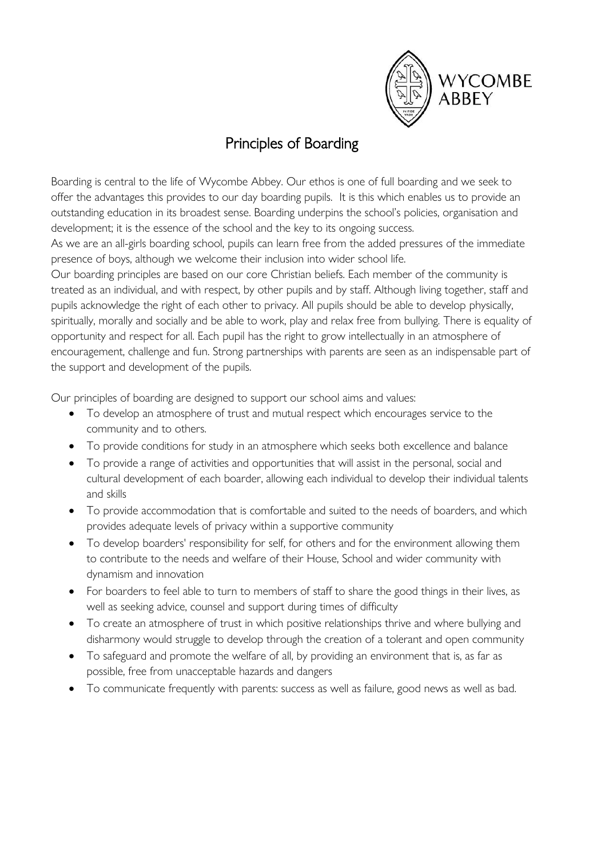

# Principles of Boarding

Boarding is central to the life of Wycombe Abbey. Our ethos is one of full boarding and we seek to offer the advantages this provides to our day boarding pupils. It is this which enables us to provide an outstanding education in its broadest sense. Boarding underpins the school's policies, organisation and development; it is the essence of the school and the key to its ongoing success.

As we are an all-girls boarding school, pupils can learn free from the added pressures of the immediate presence of boys, although we welcome their inclusion into wider school life.

Our boarding principles are based on our core Christian beliefs. Each member of the community is treated as an individual, and with respect, by other pupils and by staff. Although living together, staff and pupils acknowledge the right of each other to privacy. All pupils should be able to develop physically, spiritually, morally and socially and be able to work, play and relax free from bullying. There is equality of opportunity and respect for all. Each pupil has the right to grow intellectually in an atmosphere of encouragement, challenge and fun. Strong partnerships with parents are seen as an indispensable part of the support and development of the pupils.

Our principles of boarding are designed to support our school aims and values:

- To develop an atmosphere of trust and mutual respect which encourages service to the community and to others.
- To provide conditions for study in an atmosphere which seeks both excellence and balance
- To provide a range of activities and opportunities that will assist in the personal, social and cultural development of each boarder, allowing each individual to develop their individual talents and skills
- To provide accommodation that is comfortable and suited to the needs of boarders, and which provides adequate levels of privacy within a supportive community
- To develop boarders' responsibility for self, for others and for the environment allowing them to contribute to the needs and welfare of their House, School and wider community with dynamism and innovation
- For boarders to feel able to turn to members of staff to share the good things in their lives, as well as seeking advice, counsel and support during times of difficulty
- To create an atmosphere of trust in which positive relationships thrive and where bullying and disharmony would struggle to develop through the creation of a tolerant and open community
- To safeguard and promote the welfare of all, by providing an environment that is, as far as possible, free from unacceptable hazards and dangers
- To communicate frequently with parents: success as well as failure, good news as well as bad.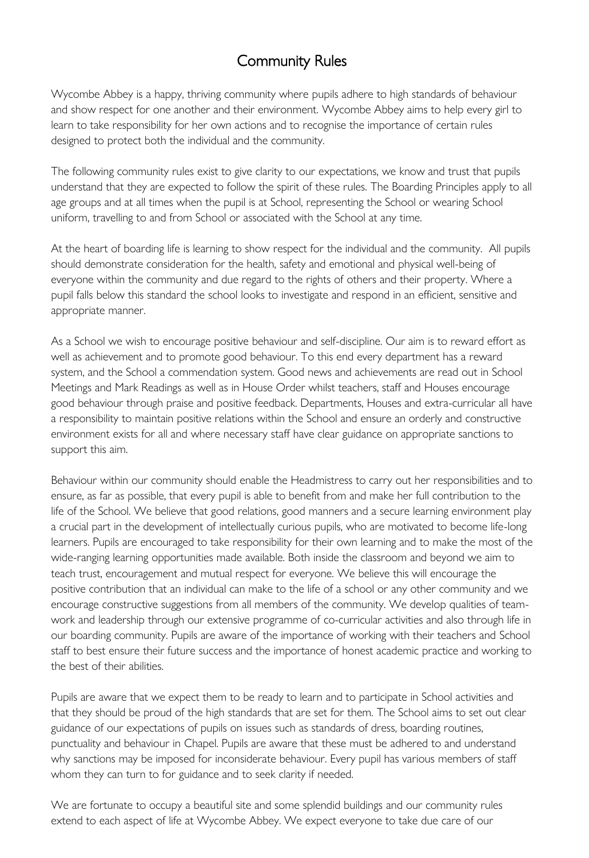# Community Rules

Wycombe Abbey is a happy, thriving community where pupils adhere to high standards of behaviour and show respect for one another and their environment. Wycombe Abbey aims to help every girl to learn to take responsibility for her own actions and to recognise the importance of certain rules designed to protect both the individual and the community.

The following community rules exist to give clarity to our expectations, we know and trust that pupils understand that they are expected to follow the spirit of these rules. The Boarding Principles apply to all age groups and at all times when the pupil is at School, representing the School or wearing School uniform, travelling to and from School or associated with the School at any time.

At the heart of boarding life is learning to show respect for the individual and the community. All pupils should demonstrate consideration for the health, safety and emotional and physical well-being of everyone within the community and due regard to the rights of others and their property. Where a pupil falls below this standard the school looks to investigate and respond in an efficient, sensitive and appropriate manner.

As a School we wish to encourage positive behaviour and self-discipline. Our aim is to reward effort as well as achievement and to promote good behaviour. To this end every department has a reward system, and the School a commendation system. Good news and achievements are read out in School Meetings and Mark Readings as well as in House Order whilst teachers, staff and Houses encourage good behaviour through praise and positive feedback. Departments, Houses and extra-curricular all have a responsibility to maintain positive relations within the School and ensure an orderly and constructive environment exists for all and where necessary staff have clear guidance on appropriate sanctions to support this aim.

Behaviour within our community should enable the Headmistress to carry out her responsibilities and to ensure, as far as possible, that every pupil is able to benefit from and make her full contribution to the life of the School. We believe that good relations, good manners and a secure learning environment play a crucial part in the development of intellectually curious pupils, who are motivated to become life-long learners. Pupils are encouraged to take responsibility for their own learning and to make the most of the wide-ranging learning opportunities made available. Both inside the classroom and beyond we aim to teach trust, encouragement and mutual respect for everyone. We believe this will encourage the positive contribution that an individual can make to the life of a school or any other community and we encourage constructive suggestions from all members of the community. We develop qualities of teamwork and leadership through our extensive programme of co-curricular activities and also through life in our boarding community. Pupils are aware of the importance of working with their teachers and School staff to best ensure their future success and the importance of honest academic practice and working to the best of their abilities.

Pupils are aware that we expect them to be ready to learn and to participate in School activities and that they should be proud of the high standards that are set for them. The School aims to set out clear guidance of our expectations of pupils on issues such as standards of dress, boarding routines, punctuality and behaviour in Chapel. Pupils are aware that these must be adhered to and understand why sanctions may be imposed for inconsiderate behaviour. Every pupil has various members of staff whom they can turn to for guidance and to seek clarity if needed.

We are fortunate to occupy a beautiful site and some splendid buildings and our community rules extend to each aspect of life at Wycombe Abbey. We expect everyone to take due care of our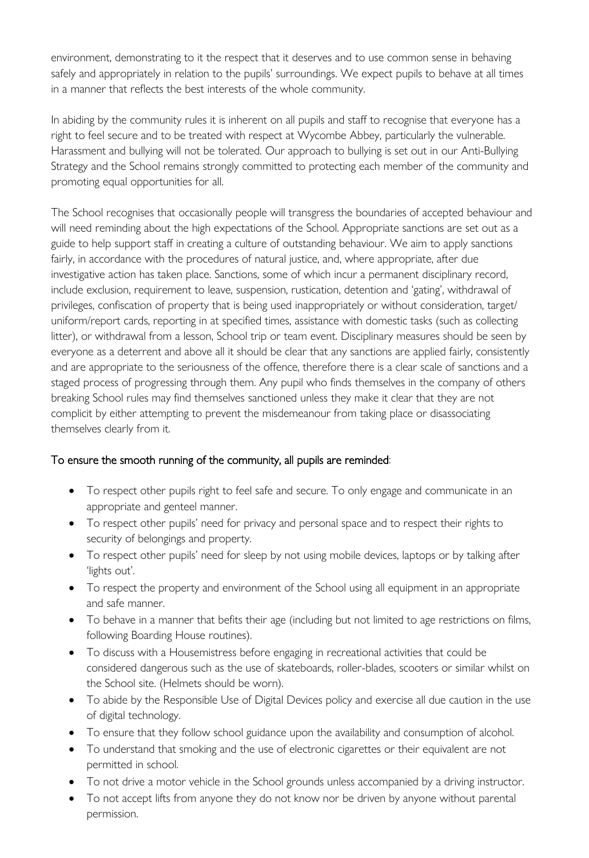environment, demonstrating to it the respect that it deserves and to use common sense in behaving safely and appropriately in relation to the pupils' surroundings. We expect pupils to behave at all times in a manner that reflects the best interests of the whole community.

In abiding by the community rules it is inherent on all pupils and staff to recognise that everyone has a right to feel secure and to be treated with respect at Wycombe Abbey, particularly the vulnerable. Harassment and bullying will not be tolerated. Our approach to bullying is set out in our Anti-Bullying Strategy and the School remains strongly committed to protecting each member of the community and promoting equal opportunities for all.

The School recognises that occasionally people will transgress the boundaries of accepted behaviour and will need reminding about the high expectations of the School. Appropriate sanctions are set out as a guide to help support staff in creating a culture of outstanding behaviour. We aim to apply sanctions fairly, in accordance with the procedures of natural justice, and, where appropriate, after due investigative action has taken place. Sanctions, some of which incur a permanent disciplinary record, include exclusion, requirement to leave, suspension, rustication, detention and 'gating', withdrawal of privileges, confiscation of property that is being used inappropriately or without consideration, target/ uniform/report cards, reporting in at specified times, assistance with domestic tasks (such as collecting litter), or withdrawal from a lesson, School trip or team event. Disciplinary measures should be seen by everyone as a deterrent and above all it should be clear that any sanctions are applied fairly, consistently and are appropriate to the seriousness of the offence, therefore there is a clear scale of sanctions and a staged process of progressing through them. Any pupil who finds themselves in the company of others breaking School rules may find themselves sanctioned unless they make it clear that they are not complicit by either attempting to prevent the misdemeanour from taking place or disassociating themselves clearly from it.

# To ensure the smooth running of the community, all pupils are reminded:

- To respect other pupils right to feel safe and secure. To only engage and communicate in an appropriate and genteel manner.
- To respect other pupils' need for privacy and personal space and to respect their rights to security of belongings and property.
- To respect other pupils' need for sleep by not using mobile devices, laptops or by talking after 'lights out'.
- To respect the property and environment of the School using all equipment in an appropriate and safe manner.
- To behave in a manner that befits their age (including but not limited to age restrictions on films, following Boarding House routines).
- To discuss with a Housemistress before engaging in recreational activities that could be considered dangerous such as the use of skateboards, roller-blades, scooters or similar whilst on the School site. (Helmets should be worn).
- To abide by the Responsible Use of Digital Devices policy and exercise all due caution in the use of digital technology.
- To ensure that they follow school guidance upon the availability and consumption of alcohol.
- To understand that smoking and the use of electronic cigarettes or their equivalent are not permitted in school.
- To not drive a motor vehicle in the School grounds unless accompanied by a driving instructor.
- To not accept lifts from anyone they do not know nor be driven by anyone without parental permission.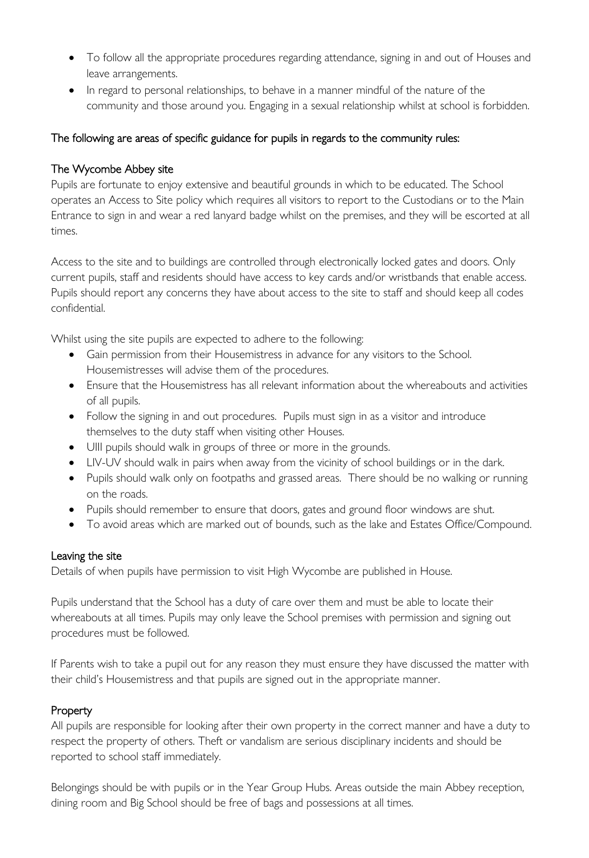- To follow all the appropriate procedures regarding attendance, signing in and out of Houses and leave arrangements.
- In regard to personal relationships, to behave in a manner mindful of the nature of the community and those around you. Engaging in a sexual relationship whilst at school is forbidden.

# The following are areas of specific guidance for pupils in regards to the community rules:

#### The Wycombe Abbey site

Pupils are fortunate to enjoy extensive and beautiful grounds in which to be educated. The School operates an Access to Site policy which requires all visitors to report to the Custodians or to the Main Entrance to sign in and wear a red lanyard badge whilst on the premises, and they will be escorted at all times.

Access to the site and to buildings are controlled through electronically locked gates and doors. Only current pupils, staff and residents should have access to key cards and/or wristbands that enable access. Pupils should report any concerns they have about access to the site to staff and should keep all codes confidential.

Whilst using the site pupils are expected to adhere to the following:

- Gain permission from their Housemistress in advance for any visitors to the School. Housemistresses will advise them of the procedures.
- Ensure that the Housemistress has all relevant information about the whereabouts and activities of all pupils.
- Follow the signing in and out procedures. Pupils must sign in as a visitor and introduce themselves to the duty staff when visiting other Houses.
- UIII pupils should walk in groups of three or more in the grounds.
- LIV-UV should walk in pairs when away from the vicinity of school buildings or in the dark.
- Pupils should walk only on footpaths and grassed areas. There should be no walking or running on the roads.
- Pupils should remember to ensure that doors, gates and ground floor windows are shut.
- To avoid areas which are marked out of bounds, such as the lake and Estates Office/Compound.

#### Leaving the site

Details of when pupils have permission to visit High Wycombe are published in House.

Pupils understand that the School has a duty of care over them and must be able to locate their whereabouts at all times. Pupils may only leave the School premises with permission and signing out procedures must be followed.

If Parents wish to take a pupil out for any reason they must ensure they have discussed the matter with their child's Housemistress and that pupils are signed out in the appropriate manner.

# Property

All pupils are responsible for looking after their own property in the correct manner and have a duty to respect the property of others. Theft or vandalism are serious disciplinary incidents and should be reported to school staff immediately.

Belongings should be with pupils or in the Year Group Hubs. Areas outside the main Abbey reception, dining room and Big School should be free of bags and possessions at all times.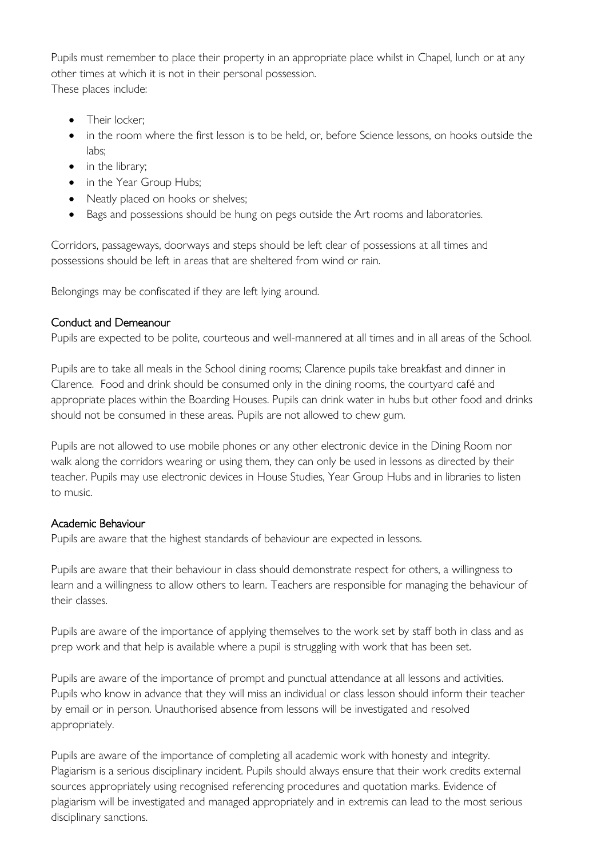Pupils must remember to place their property in an appropriate place whilst in Chapel, lunch or at any other times at which it is not in their personal possession. These places include:

- Their locker;
- in the room where the first lesson is to be held, or, before Science lessons, on hooks outside the labs;
- in the library;
- in the Year Group Hubs;
- Neatly placed on hooks or shelves;
- Bags and possessions should be hung on pegs outside the Art rooms and laboratories.

Corridors, passageways, doorways and steps should be left clear of possessions at all times and possessions should be left in areas that are sheltered from wind or rain.

Belongings may be confiscated if they are left lying around.

#### Conduct and Demeanour

Pupils are expected to be polite, courteous and well-mannered at all times and in all areas of the School.

Pupils are to take all meals in the School dining rooms; Clarence pupils take breakfast and dinner in Clarence. Food and drink should be consumed only in the dining rooms, the courtyard café and appropriate places within the Boarding Houses. Pupils can drink water in hubs but other food and drinks should not be consumed in these areas. Pupils are not allowed to chew gum.

Pupils are not allowed to use mobile phones or any other electronic device in the Dining Room nor walk along the corridors wearing or using them, they can only be used in lessons as directed by their teacher. Pupils may use electronic devices in House Studies, Year Group Hubs and in libraries to listen to music.

# Academic Behaviour

Pupils are aware that the highest standards of behaviour are expected in lessons.

Pupils are aware that their behaviour in class should demonstrate respect for others, a willingness to learn and a willingness to allow others to learn. Teachers are responsible for managing the behaviour of their classes.

Pupils are aware of the importance of applying themselves to the work set by staff both in class and as prep work and that help is available where a pupil is struggling with work that has been set.

Pupils are aware of the importance of prompt and punctual attendance at all lessons and activities. Pupils who know in advance that they will miss an individual or class lesson should inform their teacher by email or in person. Unauthorised absence from lessons will be investigated and resolved appropriately.

Pupils are aware of the importance of completing all academic work with honesty and integrity. Plagiarism is a serious disciplinary incident. Pupils should always ensure that their work credits external sources appropriately using recognised referencing procedures and quotation marks. Evidence of plagiarism will be investigated and managed appropriately and in extremis can lead to the most serious disciplinary sanctions.